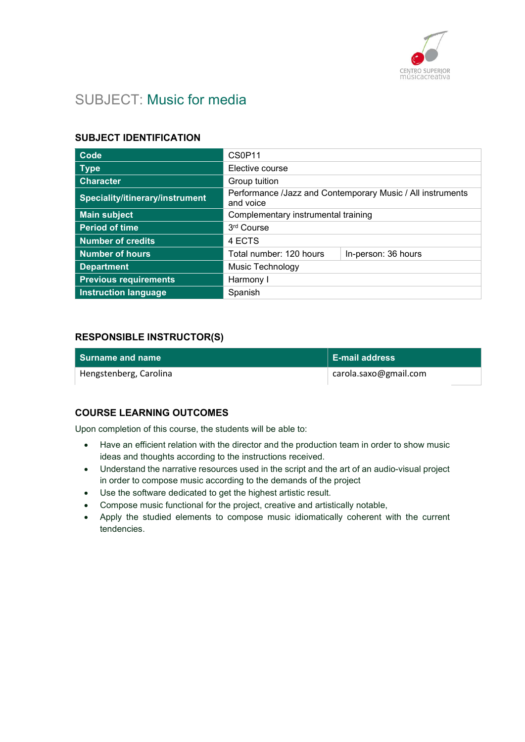

# SUBJECT: Music for media

#### SUBJECT IDENTIFICATION

| <b>Code</b>                     | CS0P11                                                                  |                     |
|---------------------------------|-------------------------------------------------------------------------|---------------------|
| <b>Type</b>                     | Elective course                                                         |                     |
| <b>Character</b>                | Group tuition                                                           |                     |
| Speciality/itinerary/instrument | Performance /Jazz and Contemporary Music / All instruments<br>and voice |                     |
| <b>Main subject</b>             | Complementary instrumental training                                     |                     |
| <b>Period of time</b>           | 3 <sup>rd</sup> Course                                                  |                     |
| <b>Number of credits</b>        | 4 ECTS                                                                  |                     |
| <b>Number of hours</b>          | Total number: 120 hours                                                 | In-person: 36 hours |
| <b>Department</b>               | Music Technology                                                        |                     |
| <b>Previous requirements</b>    | Harmony I                                                               |                     |
| <b>Instruction language</b>     | Spanish                                                                 |                     |

#### RESPONSIBLE INSTRUCTOR(S)

| Surname and name       | <b>E-mail address</b> |
|------------------------|-----------------------|
| Hengstenberg, Carolina | carola.saxo@gmail.com |

#### COURSE LEARNING OUTCOMES

Upon completion of this course, the students will be able to:

- Have an efficient relation with the director and the production team in order to show music ideas and thoughts according to the instructions received.
- Understand the narrative resources used in the script and the art of an audio-visual project in order to compose music according to the demands of the project
- Use the software dedicated to get the highest artistic result.
- Compose music functional for the project, creative and artistically notable,
- Apply the studied elements to compose music idiomatically coherent with the current tendencies.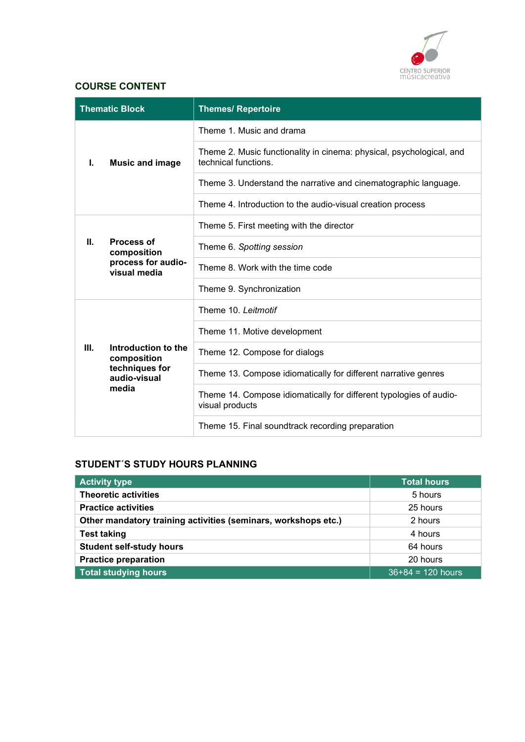

## COURSE CONTENT

|                                    | <b>Thematic Block</b>                                                                        | <b>Themes/ Repertoire</b>                                       |
|------------------------------------|----------------------------------------------------------------------------------------------|-----------------------------------------------------------------|
| <b>Music and image</b><br>L.       | Theme 1. Music and drama                                                                     |                                                                 |
|                                    | Theme 2. Music functionality in cinema: physical, psychological, and<br>technical functions. |                                                                 |
|                                    |                                                                                              | Theme 3. Understand the narrative and cinematographic language. |
|                                    |                                                                                              | Theme 4. Introduction to the audio-visual creation process      |
|                                    |                                                                                              | Theme 5. First meeting with the director                        |
| Ш.                                 | <b>Process of</b><br>composition                                                             | Theme 6. Spotting session                                       |
| process for audio-<br>visual media | Theme 8. Work with the time code                                                             |                                                                 |
|                                    | Theme 9. Synchronization                                                                     |                                                                 |
|                                    | Theme 10. Leitmotif                                                                          |                                                                 |
|                                    |                                                                                              | Theme 11. Motive development                                    |
| III.                               | Introduction to the<br>composition<br>techniques for<br>audio-visual                         | Theme 12. Compose for dialogs                                   |
|                                    |                                                                                              | Theme 13. Compose idiomatically for different narrative genres  |
| media                              | Theme 14. Compose idiomatically for different typologies of audio-<br>visual products        |                                                                 |
|                                    | Theme 15. Final soundtrack recording preparation                                             |                                                                 |

### STUDENT´S STUDY HOURS PLANNING

| <b>Activity type</b>                                           | <b>Total hours</b>  |
|----------------------------------------------------------------|---------------------|
| <b>Theoretic activities</b>                                    | 5 hours             |
| <b>Practice activities</b>                                     | 25 hours            |
| Other mandatory training activities (seminars, workshops etc.) | 2 hours             |
| <b>Test taking</b>                                             | 4 hours             |
| <b>Student self-study hours</b>                                | 64 hours            |
| <b>Practice preparation</b>                                    | 20 hours            |
| <b>Total studying hours</b>                                    | $36+84 = 120$ hours |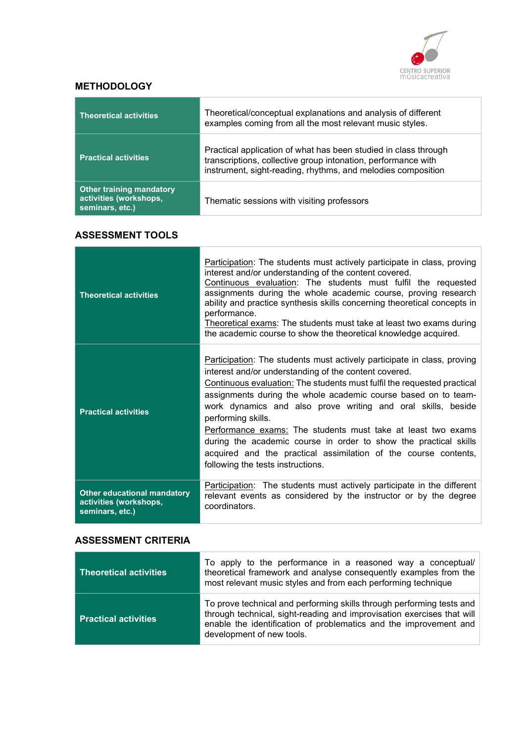

## **METHODOLOGY**

| <b>Theoretical activities</b>                                                | Theoretical/conceptual explanations and analysis of different<br>examples coming from all the most relevant music styles.                                                                        |
|------------------------------------------------------------------------------|--------------------------------------------------------------------------------------------------------------------------------------------------------------------------------------------------|
| <b>Practical activities</b>                                                  | Practical application of what has been studied in class through<br>transcriptions, collective group intonation, performance with<br>instrument, sight-reading, rhythms, and melodies composition |
| <b>Other training mandatory</b><br>activities (workshops,<br>seminars, etc.) | Thematic sessions with visiting professors                                                                                                                                                       |

#### ASSESSMENT TOOLS

| <b>Theoretical activities</b>                                                   | Participation: The students must actively participate in class, proving<br>interest and/or understanding of the content covered.<br>Continuous evaluation: The students must fulfil the requested<br>assignments during the whole academic course, proving research<br>ability and practice synthesis skills concerning theoretical concepts in<br>performance.<br>Theoretical exams: The students must take at least two exams during<br>the academic course to show the theoretical knowledge acquired.                                                                                                              |
|---------------------------------------------------------------------------------|------------------------------------------------------------------------------------------------------------------------------------------------------------------------------------------------------------------------------------------------------------------------------------------------------------------------------------------------------------------------------------------------------------------------------------------------------------------------------------------------------------------------------------------------------------------------------------------------------------------------|
| <b>Practical activities</b>                                                     | <b>Participation:</b> The students must actively participate in class, proving<br>interest and/or understanding of the content covered.<br>Continuous evaluation: The students must fulfil the requested practical<br>assignments during the whole academic course based on to team-<br>work dynamics and also prove writing and oral skills, beside<br>performing skills.<br>Performance exams: The students must take at least two exams<br>during the academic course in order to show the practical skills<br>acquired and the practical assimilation of the course contents,<br>following the tests instructions. |
| <b>Other educational mandatory</b><br>activities (workshops,<br>seminars, etc.) | Participation: The students must actively participate in the different<br>relevant events as considered by the instructor or by the degree<br>coordinators.                                                                                                                                                                                                                                                                                                                                                                                                                                                            |

#### ASSESSMENT CRITERIA

| <b>Theoretical activities</b> | To apply to the performance in a reasoned way a conceptual/<br>theoretical framework and analyse consequently examples from the<br>most relevant music styles and from each performing technique                                                  |
|-------------------------------|---------------------------------------------------------------------------------------------------------------------------------------------------------------------------------------------------------------------------------------------------|
| <b>Practical activities</b>   | To prove technical and performing skills through performing tests and<br>through technical, sight-reading and improvisation exercises that will<br>enable the identification of problematics and the improvement and<br>development of new tools. |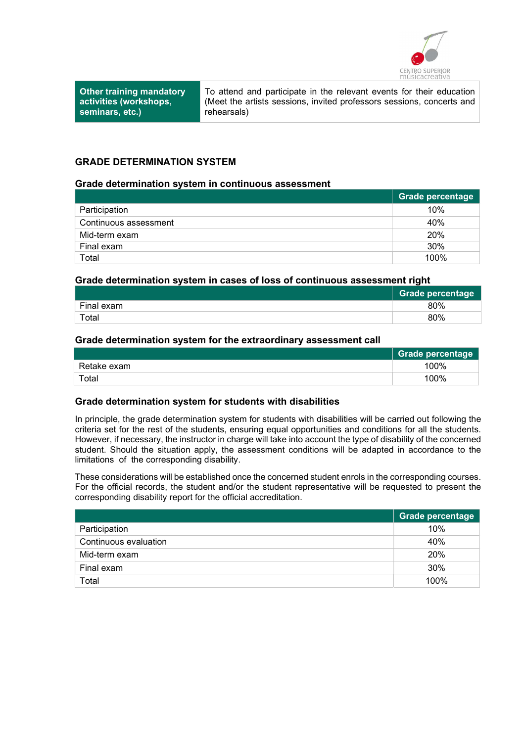

Other training mandatory activities (workshops, seminars, etc.)

To attend and participate in the relevant events for their education (Meet the artists sessions, invited professors sessions, concerts and rehearsals)

#### GRADE DETERMINATION SYSTEM

#### Grade determination system in continuous assessment

|                       | <b>Grade percentage</b> |
|-----------------------|-------------------------|
| Participation         | 10%                     |
| Continuous assessment | 40%                     |
| Mid-term exam         | 20%                     |
| Final exam            | 30%                     |
| Total                 | 100%                    |

#### Grade determination system in cases of loss of continuous assessment right

|            | <b>Grade percentage</b> |
|------------|-------------------------|
| Final exam | 80%                     |
| Total      | 80%                     |

#### Grade determination system for the extraordinary assessment call

|             | <b>Grade percentage</b> |
|-------------|-------------------------|
| Retake exam | 100%                    |
| Total       | 100%                    |

#### Grade determination system for students with disabilities

In principle, the grade determination system for students with disabilities will be carried out following the criteria set for the rest of the students, ensuring equal opportunities and conditions for all the students. However, if necessary, the instructor in charge will take into account the type of disability of the concerned student. Should the situation apply, the assessment conditions will be adapted in accordance to the limitations of the corresponding disability.

These considerations will be established once the concerned student enrols in the corresponding courses. For the official records, the student and/or the student representative will be requested to present the corresponding disability report for the official accreditation.

|                       | Grade percentage |
|-----------------------|------------------|
| Participation         | 10%              |
| Continuous evaluation | 40%              |
| Mid-term exam         | 20%              |
| Final exam            | 30%              |
| Total                 | 100%             |